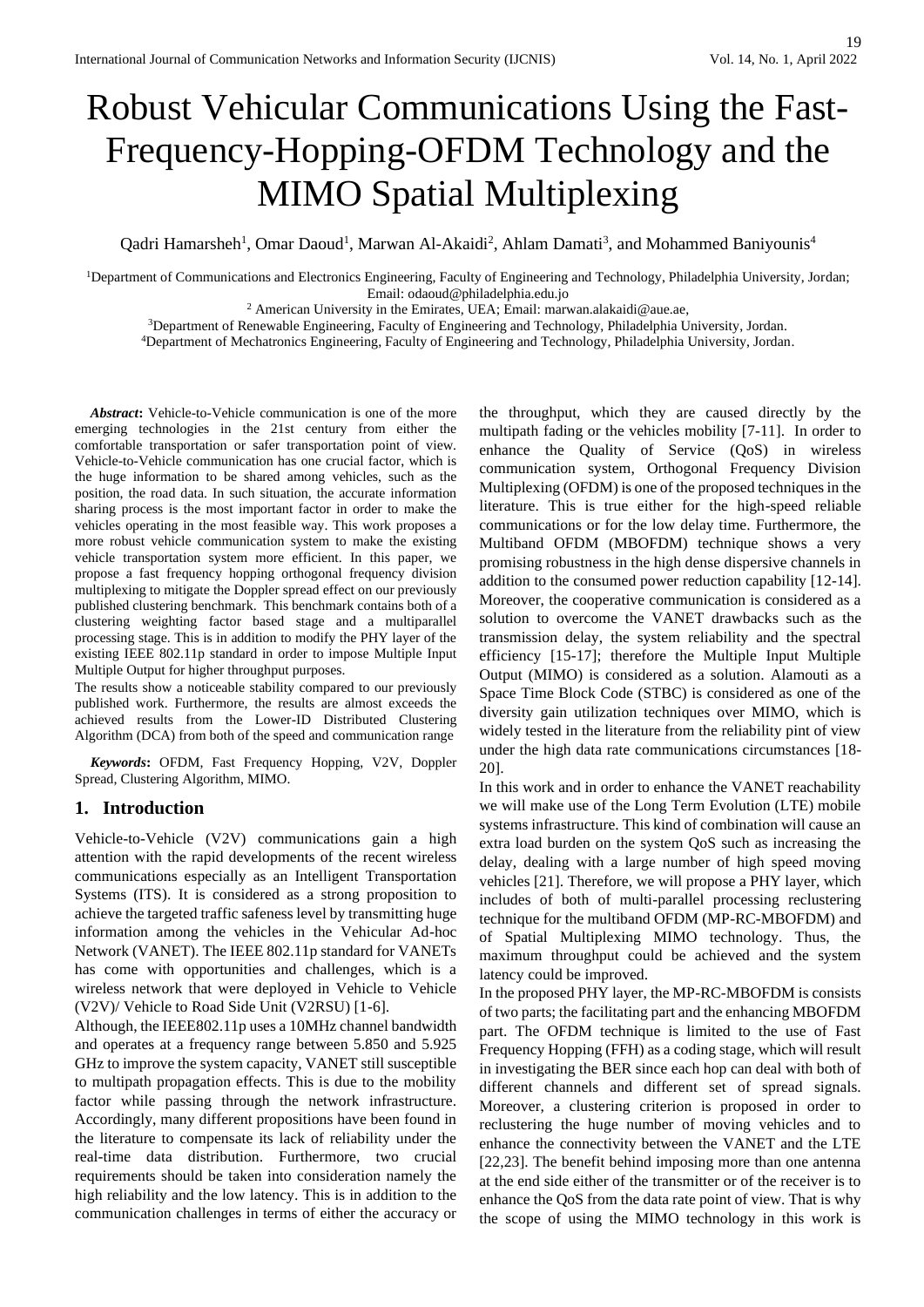# Robust Vehicular Communications Using the Fast-Frequency-Hopping-OFDM Technology and the MIMO Spatial Multiplexing

Qadri Hamarsheh<sup>1</sup>, Omar Daoud<sup>1</sup>, Marwan Al-Akaidi<sup>2</sup>, Ahlam Damati<sup>3</sup>, and Mohammed Baniyounis<sup>4</sup>

<sup>1</sup>Department of Communications and Electronics Engineering, Faculty of Engineering and Technology, Philadelphia University, Jordan; Email: odaoud@philadelphia.edu.jo

<sup>2</sup> American University in the Emirates, UEA; Email: [marwan.alakaidi@aue.ae,](mailto:marwan.alakaidi@aue.ae)

<sup>3</sup>Department of Renewable Engineering, Faculty of Engineering and Technology, Philadelphia University, Jordan.

<sup>4</sup>Department of Mechatronics Engineering, Faculty of Engineering and Technology, Philadelphia University, Jordan.

*Abstract***:** Vehicle-to-Vehicle communication is one of the more emerging technologies in the 21st century from either the comfortable transportation or safer transportation point of view. Vehicle-to-Vehicle communication has one crucial factor, which is the huge information to be shared among vehicles, such as the position, the road data. In such situation, the accurate information sharing process is the most important factor in order to make the vehicles operating in the most feasible way. This work proposes a more robust vehicle communication system to make the existing vehicle transportation system more efficient. In this paper, we propose a fast frequency hopping orthogonal frequency division multiplexing to mitigate the Doppler spread effect on our previously published clustering benchmark. This benchmark contains both of a clustering weighting factor based stage and a multiparallel processing stage. This is in addition to modify the PHY layer of the existing IEEE 802.11p standard in order to impose Multiple Input Multiple Output for higher throughput purposes.

The results show a noticeable stability compared to our previously published work. Furthermore, the results are almost exceeds the achieved results from the Lower-ID Distributed Clustering Algorithm (DCA) from both of the speed and communication range

*Keywords***:** OFDM, Fast Frequency Hopping, V2V, Doppler Spread, Clustering Algorithm, MIMO.

## **1. Introduction**

Vehicle-to-Vehicle (V2V) communications gain a high attention with the rapid developments of the recent wireless communications especially as an Intelligent Transportation Systems (ITS). It is considered as a strong proposition to achieve the targeted traffic safeness level by transmitting huge information among the vehicles in the Vehicular Ad-hoc Network (VANET). The IEEE 802.11p standard for VANETs has come with opportunities and challenges, which is a wireless network that were deployed in Vehicle to Vehicle (V2V)/ Vehicle to Road Side Unit (V2RSU) [1-6].

Although, the IEEE802.11p uses a 10MHz channel bandwidth and operates at a frequency range between 5.850 and 5.925 GHz to improve the system capacity, VANET still susceptible to multipath propagation effects. This is due to the mobility factor while passing through the network infrastructure. Accordingly, many different propositions have been found in the literature to compensate its lack of reliability under the real-time data distribution. Furthermore, two crucial requirements should be taken into consideration namely the high reliability and the low latency. This is in addition to the communication challenges in terms of either the accuracy or

the throughput, which they are caused directly by the multipath fading or the vehicles mobility [7-11]. In order to enhance the Quality of Service (QoS) in wireless communication system, Orthogonal Frequency Division Multiplexing (OFDM) is one of the proposed techniques in the literature. This is true either for the high-speed reliable communications or for the low delay time. Furthermore, the Multiband OFDM (MBOFDM) technique shows a very promising robustness in the high dense dispersive channels in addition to the consumed power reduction capability [12-14]. Moreover, the cooperative communication is considered as a solution to overcome the VANET drawbacks such as the transmission delay, the system reliability and the spectral efficiency [15-17]; therefore the Multiple Input Multiple Output (MIMO) is considered as a solution. Alamouti as a Space Time Block Code (STBC) is considered as one of the diversity gain utilization techniques over MIMO, which is widely tested in the literature from the reliability pint of view under the high data rate communications circumstances [18- 20].

In this work and in order to enhance the VANET reachability we will make use of the Long Term Evolution (LTE) mobile systems infrastructure. This kind of combination will cause an extra load burden on the system QoS such as increasing the delay, dealing with a large number of high speed moving vehicles [21]. Therefore, we will propose a PHY layer, which includes of both of multi-parallel processing reclustering technique for the multiband OFDM (MP-RC-MBOFDM) and of Spatial Multiplexing MIMO technology. Thus, the maximum throughput could be achieved and the system latency could be improved.

In the proposed PHY layer, the MP-RC-MBOFDM is consists of two parts; the facilitating part and the enhancing MBOFDM part. The OFDM technique is limited to the use of Fast Frequency Hopping (FFH) as a coding stage, which will result in investigating the BER since each hop can deal with both of different channels and different set of spread signals. Moreover, a clustering criterion is proposed in order to reclustering the huge number of moving vehicles and to enhance the connectivity between the VANET and the LTE [22,23]. The benefit behind imposing more than one antenna at the end side either of the transmitter or of the receiver is to enhance the QoS from the data rate point of view. That is why the scope of using the MIMO technology in this work is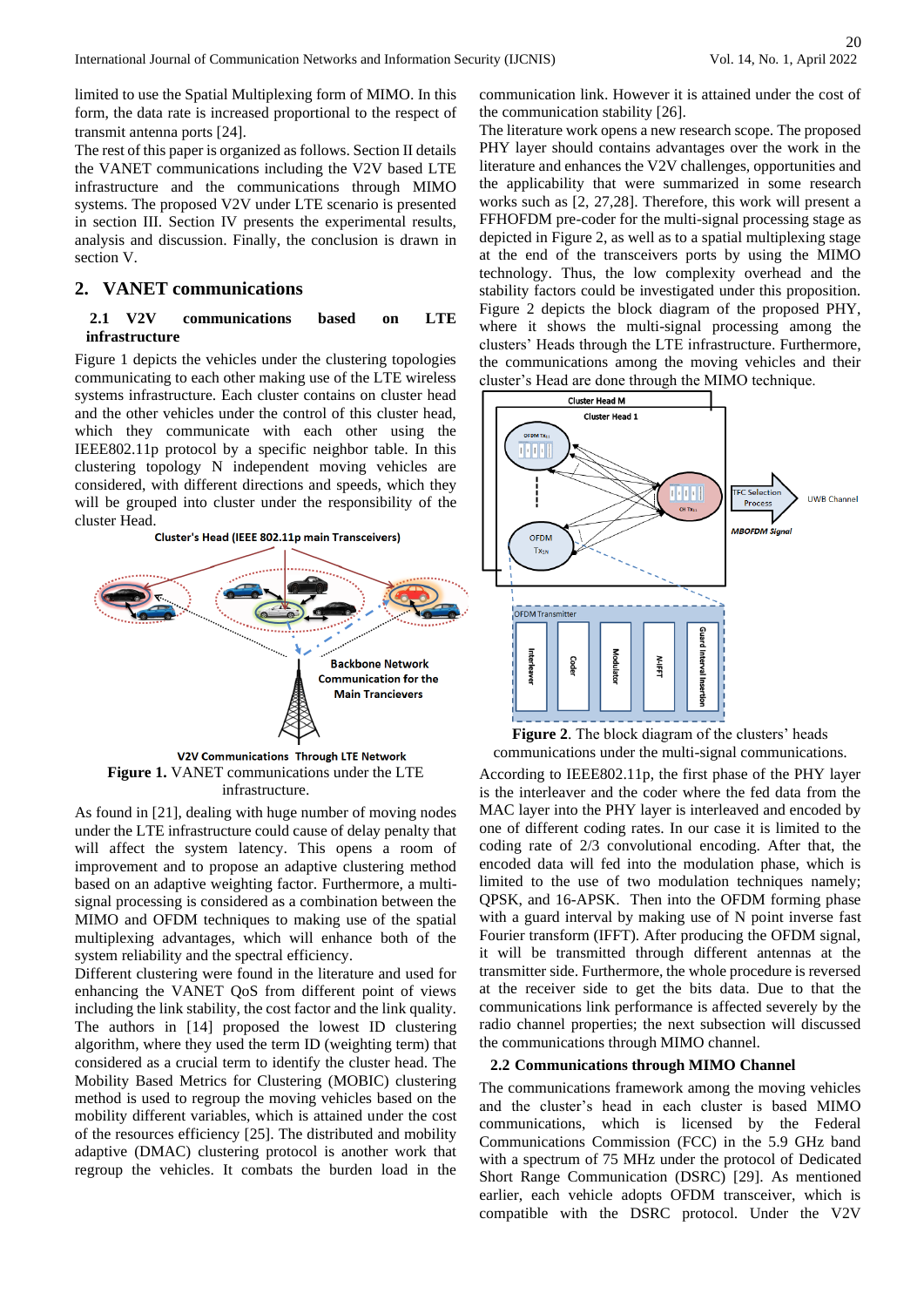limited to use the Spatial Multiplexing form of MIMO. In this form, the data rate is increased proportional to the respect of transmit antenna ports [24].

The rest of this paper is organized as follows. Section II details the VANET communications including the V2V based LTE infrastructure and the communications through MIMO systems. The proposed V2V under LTE scenario is presented in section III. Section IV presents the experimental results, analysis and discussion. Finally, the conclusion is drawn in section V.

## **2. VANET communications**

### **2.1 V2V communications based on LTE infrastructure**

Figure 1 depicts the vehicles under the clustering topologies communicating to each other making use of the LTE wireless systems infrastructure. Each cluster contains on cluster head and the other vehicles under the control of this cluster head, which they communicate with each other using the IEEE802.11p protocol by a specific neighbor table. In this clustering topology N independent moving vehicles are considered, with different directions and speeds, which they will be grouped into cluster under the responsibility of the cluster Head.<br>Cluster's Head (IEEE 802.11p main Transceivers)



**Figure 1.** VANET communications under the LTE infrastructure.

As found in [21], dealing with huge number of moving nodes under the LTE infrastructure could cause of delay penalty that will affect the system latency. This opens a room of improvement and to propose an adaptive clustering method based on an adaptive weighting factor. Furthermore, a multisignal processing is considered as a combination between the MIMO and OFDM techniques to making use of the spatial multiplexing advantages, which will enhance both of the system reliability and the spectral efficiency.

Different clustering were found in the literature and used for enhancing the VANET QoS from different point of views including the link stability, the cost factor and the link quality. The authors in [14] proposed the lowest ID clustering algorithm, where they used the term ID (weighting term) that considered as a crucial term to identify the cluster head. The Mobility Based Metrics for Clustering (MOBIC) clustering method is used to regroup the moving vehicles based on the mobility different variables, which is attained under the cost of the resources efficiency [25]. The distributed and mobility adaptive (DMAC) clustering protocol is another work that regroup the vehicles. It combats the burden load in the

communication link. However it is attained under the cost of the communication stability [26].

The literature work opens a new research scope. The proposed PHY layer should contains advantages over the work in the literature and enhances the V2V challenges, opportunities and the applicability that were summarized in some research works such as [2, 27,28]. Therefore, this work will present a FFHOFDM pre-coder for the multi-signal processing stage as depicted in Figure 2, as well as to a spatial multiplexing stage at the end of the transceivers ports by using the MIMO technology. Thus, the low complexity overhead and the stability factors could be investigated under this proposition. Figure 2 depicts the block diagram of the proposed PHY, where it shows the multi-signal processing among the clusters' Heads through the LTE infrastructure. Furthermore, the communications among the moving vehicles and their cluster's Head are done through the MIMO technique.



**Figure 2**. The block diagram of the clusters' heads communications under the multi-signal communications.

According to IEEE802.11p, the first phase of the PHY layer is the interleaver and the coder where the fed data from the MAC layer into the PHY layer is interleaved and encoded by one of different coding rates. In our case it is limited to the coding rate of 2/3 convolutional encoding. After that, the encoded data will fed into the modulation phase, which is limited to the use of two modulation techniques namely; QPSK, and 16-APSK. Then into the OFDM forming phase with a guard interval by making use of N point inverse fast Fourier transform (IFFT). After producing the OFDM signal, it will be transmitted through different antennas at the transmitter side. Furthermore, the whole procedure is reversed at the receiver side to get the bits data. Due to that the communications link performance is affected severely by the radio channel properties; the next subsection will discussed the communications through MIMO channel.

#### **2.2 Communications through MIMO Channel**

The communications framework among the moving vehicles and the cluster's head in each cluster is based MIMO communications, which is licensed by the Federal Communications Commission (FCC) in the 5.9 GHz band with a spectrum of 75 MHz under the protocol of Dedicated Short Range Communication (DSRC) [29]. As mentioned earlier, each vehicle adopts OFDM transceiver, which is compatible with the DSRC protocol. Under the V2V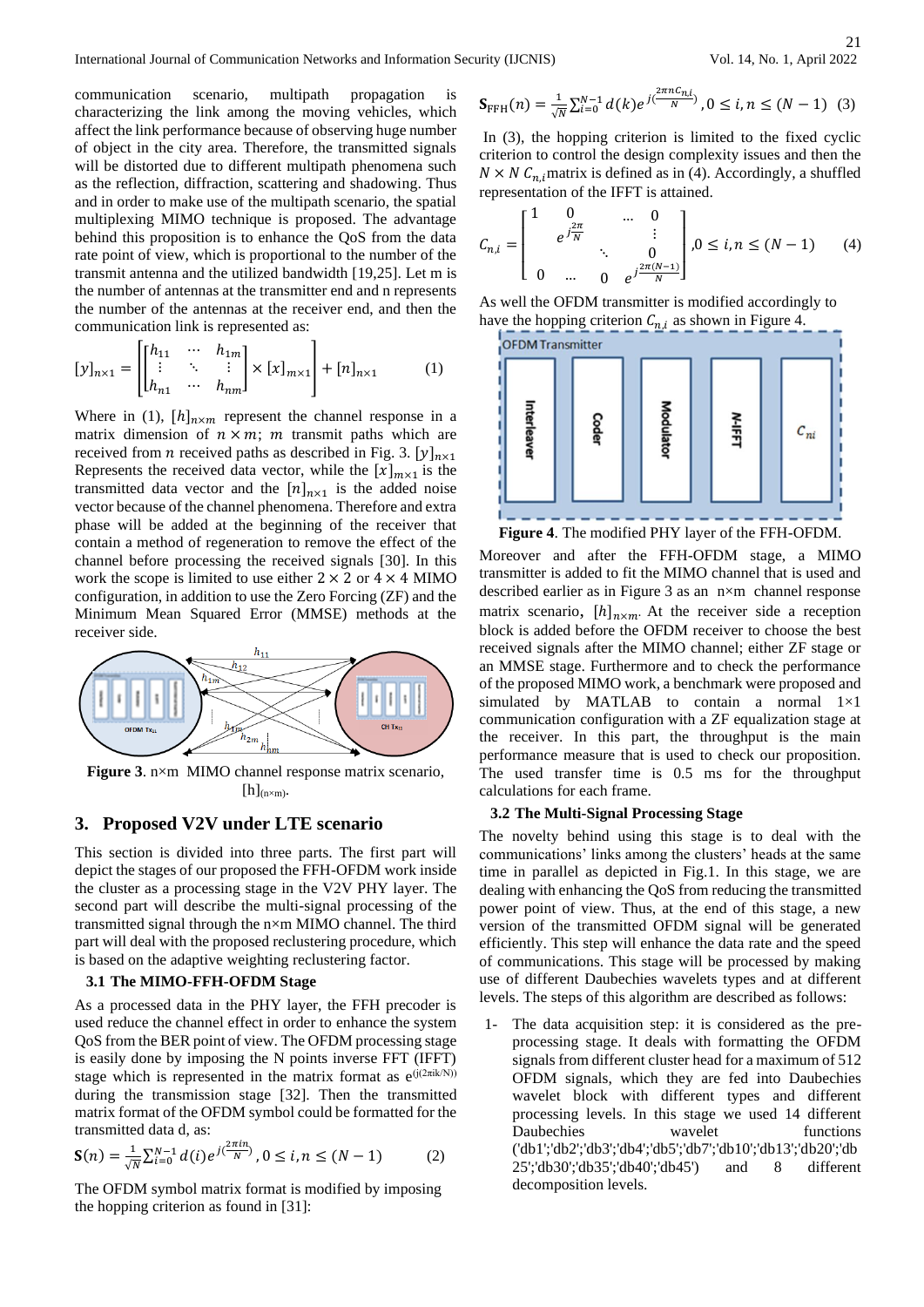International Journal of Communication Networks and Information Security (IJCNIS) Vol. 14, No. 1, April 2022

communication scenario, multipath propagation is characterizing the link among the moving vehicles, which affect the link performance because of observing huge number of object in the city area. Therefore, the transmitted signals will be distorted due to different multipath phenomena such as the reflection, diffraction, scattering and shadowing. Thus and in order to make use of the multipath scenario, the spatial multiplexing MIMO technique is proposed. The advantage behind this proposition is to enhance the QoS from the data rate point of view, which is proportional to the number of the transmit antenna and the utilized bandwidth [19,25]. Let m is the number of antennas at the transmitter end and n represents the number of the antennas at the receiver end, and then the communication link is represented as:

$$
[y]_{n\times 1} = \begin{bmatrix} h_{11} & \cdots & h_{1m} \\ \vdots & \ddots & \vdots \\ h_{n1} & \cdots & h_{nm} \end{bmatrix} \times [x]_{m\times 1} + [n]_{n\times 1} \tag{1}
$$

Where in (1),  $[h]_{n \times m}$  represent the channel response in a matrix dimension of  $n \times m$ ; *m* transmit paths which are received from *n* received paths as described in Fig. 3.  $[y]_{n \times 1}$ Represents the received data vector, while the  $[x]_{m \times 1}$  is the transmitted data vector and the  $[n]_{n\times 1}$  is the added noise vector because of the channel phenomena. Therefore and extra phase will be added at the beginning of the receiver that contain a method of regeneration to remove the effect of the channel before processing the received signals [30]. In this work the scope is limited to use either  $2 \times 2$  or  $4 \times 4$  MIMO configuration, in addition to use the Zero Forcing (ZF) and the Minimum Mean Squared Error (MMSE) methods at the receiver side.



**Figure 3**. n×m MIMO channel response matrix scenario,  $[h]_{(n\times m)}$ .

# **3. Proposed V2V under LTE scenario**

This section is divided into three parts. The first part will depict the stages of our proposed the FFH-OFDM work inside the cluster as a processing stage in the V2V PHY layer. The second part will describe the multi-signal processing of the transmitted signal through the n×m MIMO channel. The third part will deal with the proposed reclustering procedure, which is based on the adaptive weighting reclustering factor.

#### **3.1 The MIMO-FFH-OFDM Stage**

As a processed data in the PHY layer, the FFH precoder is used reduce the channel effect in order to enhance the system QoS from the BER point of view. The OFDM processing stage is easily done by imposing the N points inverse FFT (IFFT) stage which is represented in the matrix format as  $e^{(j(2\pi i k/N))}$ during the transmission stage [32]. Then the transmitted matrix format of the OFDM symbol could be formatted for the transmitted data d, as:

$$
\mathbf{S}(n) = \frac{1}{\sqrt{N}} \sum_{i=0}^{N-1} d(i) e^{j(\frac{2\pi in}{N})}, 0 \le i, n \le (N-1)
$$
 (2)

The OFDM symbol matrix format is modified by imposing the hopping criterion as found in [31]:

$$
\mathbf{S}_{\text{FFH}}(n) = \frac{1}{\sqrt{N}} \sum_{i=0}^{N-1} d(k) e^{j(\frac{2\pi n C_{n,i}}{N})}, 0 \le i, n \le (N-1) \tag{3}
$$

In (3), the hopping criterion is limited to the fixed cyclic criterion to control the design complexity issues and then the  $N \times N$   $C_{n,i}$  matrix is defined as in (4). Accordingly, a shuffled representation of the IFFT is attained.

$$
C_{n,i} = \begin{bmatrix} 1 & 0 & \dots & 0 \\ & e^{j\frac{2\pi}{N}} & & \vdots \\ & \ddots & & 0 \\ 0 & \dots & 0 & e^{j\frac{2\pi(N-1)}{N}} \end{bmatrix}, 0 \le i, n \le (N-1) \quad (4)
$$

As well the OFDM transmitter is modified accordingly to have the hopping criterion  $C_{n,i}$  as shown in Figure 4.

**OFDM Transmitter** 



**Figure 4**. The modified PHY layer of the FFH-OFDM.

Moreover and after the FFH-OFDM stage, a MIMO transmitter is added to fit the MIMO channel that is used and described earlier as in Figure 3 as an n×m channel response matrix scenario,  $[h]_{n \times m}$ . At the receiver side a reception block is added before the OFDM receiver to choose the best received signals after the MIMO channel; either ZF stage or an MMSE stage. Furthermore and to check the performance of the proposed MIMO work, a benchmark were proposed and simulated by MATLAB to contain a normal 1×1 communication configuration with a ZF equalization stage at the receiver. In this part, the throughput is the main performance measure that is used to check our proposition. The used transfer time is 0.5 ms for the throughput calculations for each frame.

#### **3.2 The Multi-Signal Processing Stage**

The novelty behind using this stage is to deal with the communications' links among the clusters' heads at the same time in parallel as depicted in Fig.1. In this stage, we are dealing with enhancing the QoS from reducing the transmitted power point of view. Thus, at the end of this stage, a new version of the transmitted OFDM signal will be generated efficiently. This step will enhance the data rate and the speed of communications. This stage will be processed by making use of different Daubechies wavelets types and at different levels. The steps of this algorithm are described as follows:

1- The data acquisition step: it is considered as the preprocessing stage. It deals with formatting the OFDM signals from different cluster head for a maximum of 512 OFDM signals, which they are fed into Daubechies wavelet block with different types and different processing levels. In this stage we used 14 different Daubechies wavelet functions ('db1';'db2';'db3';'db4';'db5';'db7';'db10';'db13';'db20';'db 25';'db30';'db35';'db40';'db45') and 8 different decomposition levels.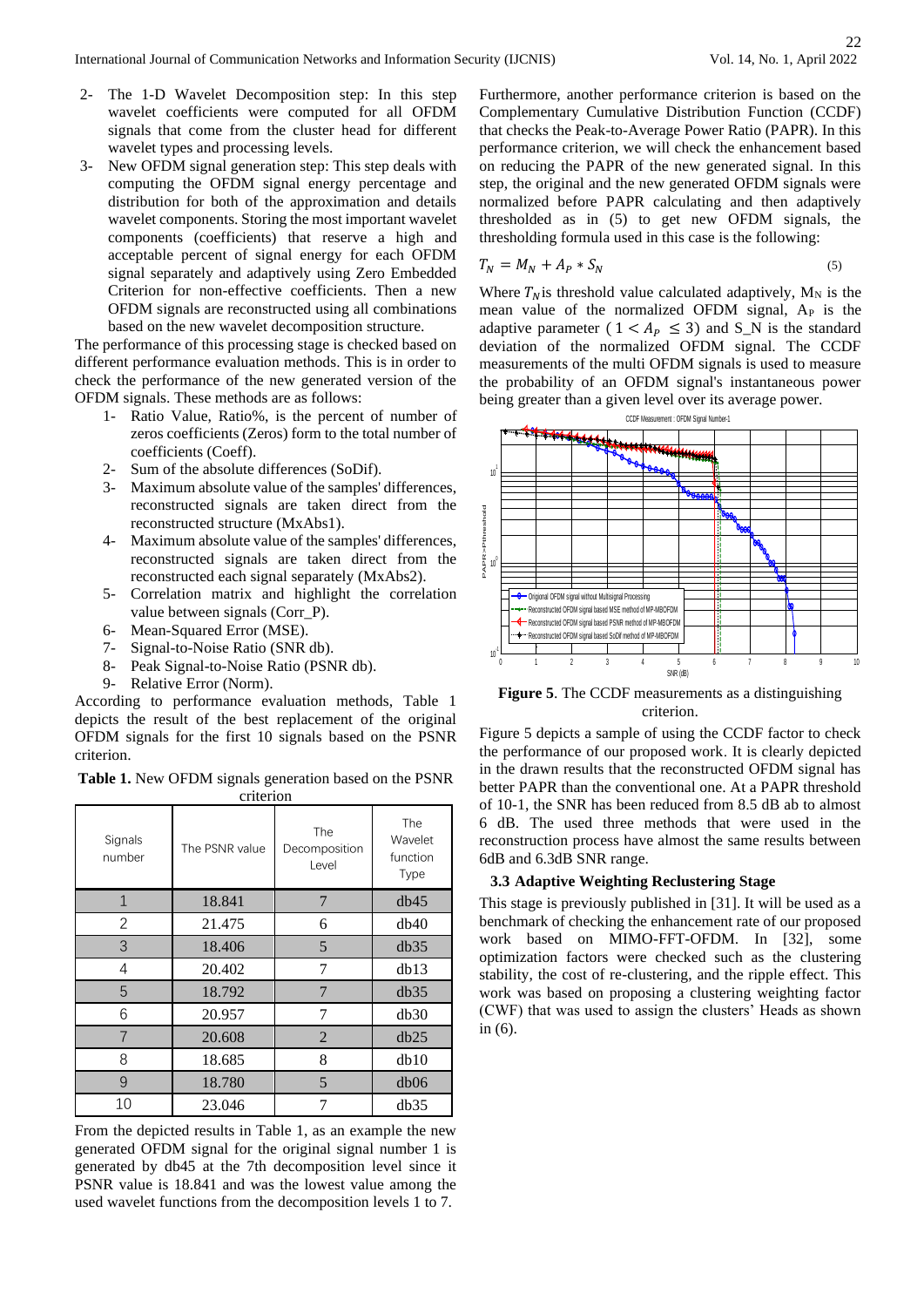- The 1-D Wavelet Decomposition step: In this step wavelet coefficients were computed for all OFDM signals that come from the cluster head for different wavelet types and processing levels.
- New OFDM signal generation step: This step deals with computing the OFDM signal energy percentage and distribution for both of the approximation and details wavelet components. Storing the most important wavelet components (coefficients) that reserve a high and acceptable percent of signal energy for each OFDM signal separately and adaptively using Zero Embedded Criterion for non-effective coefficients. Then a new OFDM signals are reconstructed using all combinations based on the new wavelet decomposition structure.

The performance of this processing stage is checked based on different performance evaluation methods. This is in order to check the performance of the new generated version of the OFDM signals. These methods are as follows:

- 1- Ratio Value, Ratio%, is the percent of number of zeros coefficients (Zeros) form to the total number of coefficients (Coeff).
- 2- Sum of the absolute differences (SoDif).
- 3- Maximum absolute value of the samples' differences, reconstructed signals are taken direct from the reconstructed structure (MxAbs1).
- 4- Maximum absolute value of the samples' differences, reconstructed signals are taken direct from the reconstructed each signal separately (MxAbs2).
- 5- Correlation matrix and highlight the correlation value between signals (Corr\_P).
- 6- Mean-Squared Error (MSE).
- 7- Signal-to-Noise Ratio (SNR db).
- 8- Peak Signal-to-Noise Ratio (PSNR db).
- 9- Relative Error (Norm).

According to performance evaluation methods, Table 1 depicts the result of the best replacement of the original OFDM signals for the first 10 signals based on the PSNR criterion.

**Table 1.** New OFDM signals generation based on the PSNR criterion

| Signals<br>number | The PSNR value | <b>The</b><br>Decomposition<br>Level | The<br>Wavelet<br>function<br>Type |
|-------------------|----------------|--------------------------------------|------------------------------------|
| $\mathbf{1}$      | 18.841         | 7                                    | db45                               |
| 2                 | 21.475         | 6                                    | db40                               |
| 3                 | 18.406         | 5                                    | db35                               |
| 4                 | 20.402         |                                      | db13                               |
| 5                 | 18.792         | 7                                    | db35                               |
| 6                 | 20.957         | 7                                    | db30                               |
|                   | 20.608         | 2                                    | db25                               |
| 8                 | 18.685         | 8                                    | db10                               |
| 9                 | 18.780         | 5                                    | db06                               |
| 10                | 23.046         |                                      | db35                               |

From the depicted results in Table 1, as an example the new generated OFDM signal for the original signal number 1 is generated by db45 at the 7th decomposition level since it PSNR value is 18.841 and was the lowest value among the used wavelet functions from the decomposition levels 1 to 7.

Furthermore, another performance criterion is based on the Complementary Cumulative Distribution Function (CCDF) that checks the Peak-to-Average Power Ratio (PAPR). In this performance criterion, we will check the enhancement based on reducing the PAPR of the new generated signal. In this step, the original and the new generated OFDM signals were normalized before PAPR calculating and then adaptively thresholded as in (5) to get new OFDM signals, the thresholding formula used in this case is the following:

$$
T_N = M_N + A_P * S_N \tag{5}
$$

Where  $T_N$  is threshold value calculated adaptively, M<sub>N</sub> is the mean value of the normalized OFDM signal,  $A<sub>P</sub>$  is the adaptive parameter (  $1 < A<sub>p</sub> \le 3$ ) and S\_N is the standard deviation of the normalized OFDM signal. The CCDF measurements of the multi OFDM signals is used to measure the probability of an OFDM signal's instantaneous power being greater than a given level over its average power.



**Figure 5**. The CCDF measurements as a distinguishing criterion.

Figure 5 depicts a sample of using the CCDF factor to check the performance of our proposed work. It is clearly depicted in the drawn results that the reconstructed OFDM signal has better PAPR than the conventional one. At a PAPR threshold of 10-1, the SNR has been reduced from 8.5 dB ab to almost 6 dB. The used three methods that were used in the reconstruction process have almost the same results between 6dB and 6.3dB SNR range.

#### **3.3 Adaptive Weighting Reclustering Stage**

This stage is previously published in [31]. It will be used as a benchmark of checking the enhancement rate of our proposed work based on MIMO-FFT-OFDM. In [32], some optimization factors were checked such as the clustering stability, the cost of re-clustering, and the ripple effect. This work was based on proposing a clustering weighting factor (CWF) that was used to assign the clusters' Heads as shown in (6).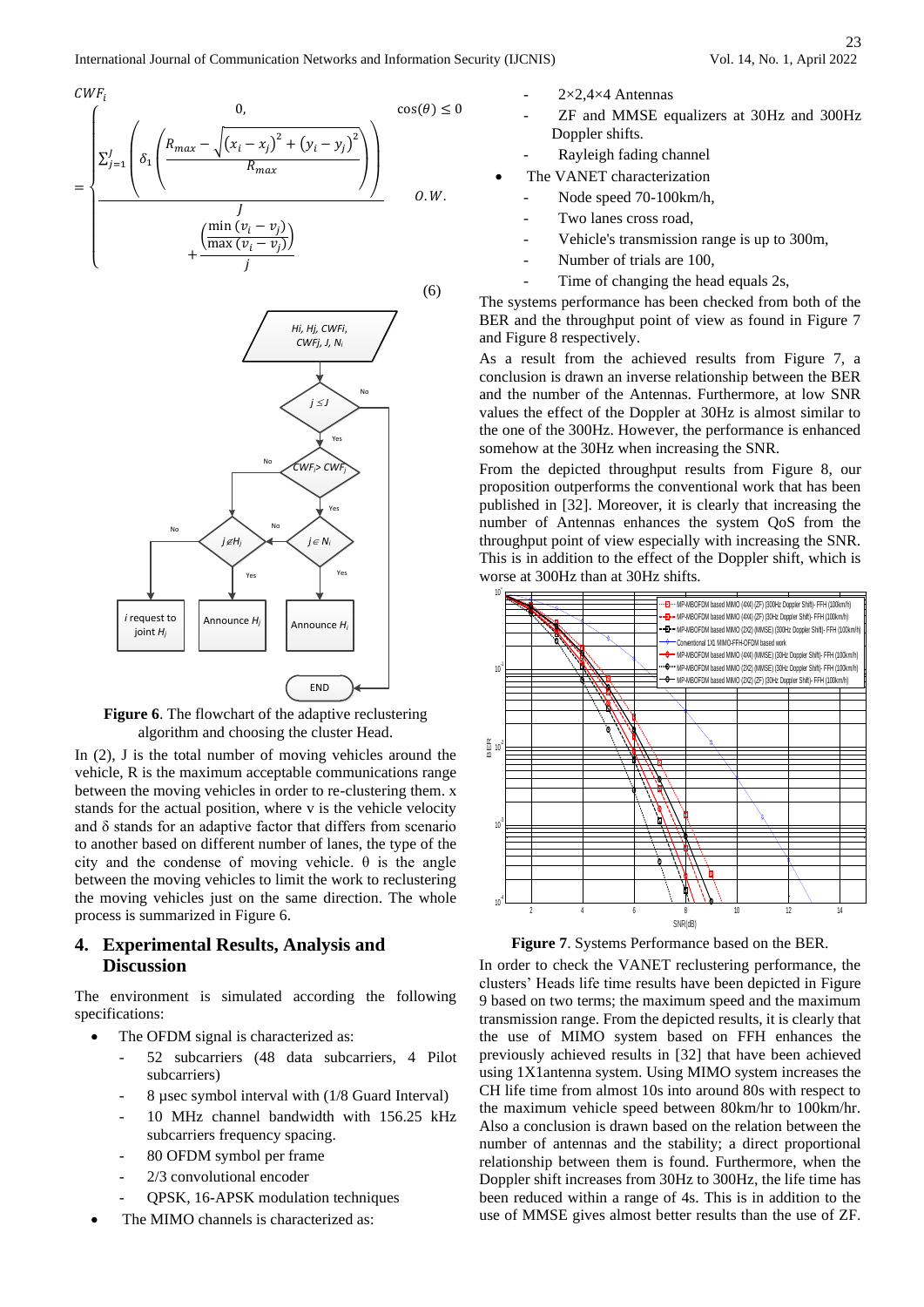(6)

$$
CWF_i
$$
  
=
$$
\frac{\sum_{j=1}^{J} \left( \delta_1 \left( \frac{R_{max} - \sqrt{(x_i - x_j)^2 + (y_i - y_j)^2}}{R_{max}} \right) \right)}{\sum_{j} \left( \frac{\min (v_i - v_j)}{R_{max} (v_i - v_j)} \right)}
$$
 0.W.



**Figure 6**. The flowchart of the adaptive reclustering algorithm and choosing the cluster Head.

In (2), J is the total number of moving vehicles around the vehicle, R is the maximum acceptable communications range between the moving vehicles in order to re-clustering them. x stands for the actual position, where v is the vehicle velocity and  $\delta$  stands for an adaptive factor that differs from scenario to another based on different number of lanes, the type of the city and the condense of moving vehicle.  $\theta$  is the angle between the moving vehicles to limit the work to reclustering the moving vehicles just on the same direction. The whole process is summarized in Figure 6.

# **4. Experimental Results, Analysis and Discussion**

The environment is simulated according the following specifications:

- The OFDM signal is characterized as:
	- 52 subcarriers (48 data subcarriers, 4 Pilot subcarriers)
	- 8 µsec symbol interval with (1/8 Guard Interval)
	- 10 MHz channel bandwidth with 156.25 kHz subcarriers frequency spacing.
	- 80 OFDM symbol per frame
	- 2/3 convolutional encoder
	- QPSK, 16-APSK modulation techniques
	- The MIMO channels is characterized as:
- $2\times 2,4\times 4$  Antennas
- ZF and MMSE equalizers at 30Hz and 300Hz Doppler shifts.
- Rayleigh fading channel
- The VANET characterization
	- Node speed 70-100km/h,
	- Two lanes cross road,
	- Vehicle's transmission range is up to 300m,
	- Number of trials are 100,
	- Time of changing the head equals 2s,

The systems performance has been checked from both of the BER and the throughput point of view as found in Figure 7 and Figure 8 respectively.

As a result from the achieved results from Figure 7, a conclusion is drawn an inverse relationship between the BER and the number of the Antennas. Furthermore, at low SNR values the effect of the Doppler at 30Hz is almost similar to the one of the 300Hz. However, the performance is enhanced somehow at the 30Hz when increasing the SNR.

From the depicted throughput results from Figure 8, our proposition outperforms the conventional work that has been published in [32]. Moreover, it is clearly that increasing the number of Antennas enhances the system QoS from the throughput point of view especially with increasing the SNR. This is in addition to the effect of the Doppler shift, which is worse at 300Hz than at 30Hz shifts.



**Figure 7**. Systems Performance based on the BER.

In order to check the VANET reclustering performance, the clusters' Heads life time results have been depicted in Figure 9 based on two terms; the maximum speed and the maximum transmission range. From the depicted results, it is clearly that the use of MIMO system based on FFH enhances the previously achieved results in [32] that have been achieved using 1X1antenna system. Using MIMO system increases the CH life time from almost 10s into around 80s with respect to the maximum vehicle speed between 80km/hr to 100km/hr. Also a conclusion is drawn based on the relation between the number of antennas and the stability; a direct proportional relationship between them is found. Furthermore, when the Doppler shift increases from 30Hz to 300Hz, the life time has been reduced within a range of 4s. This is in addition to the use of MMSE gives almost better results than the use of ZF.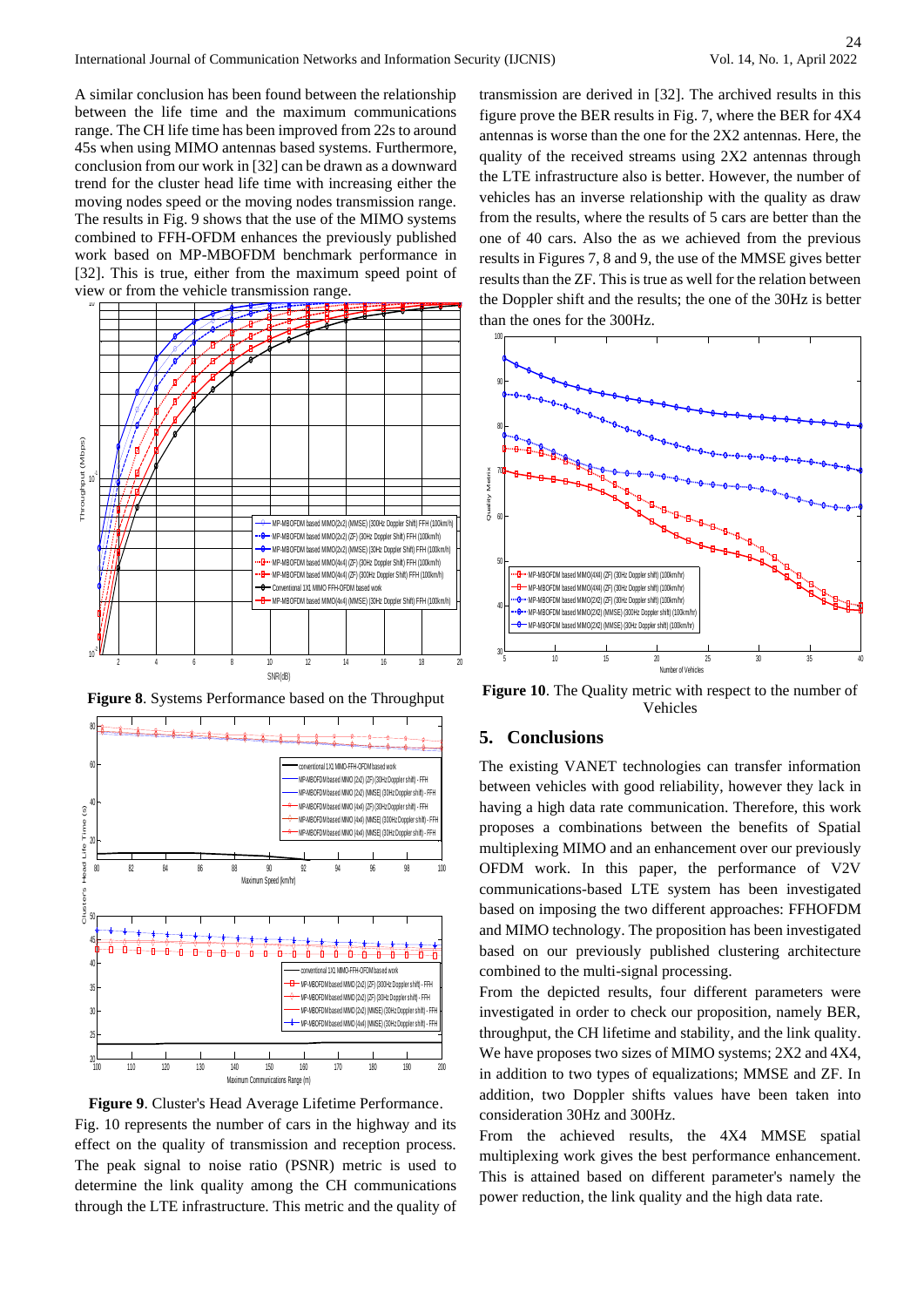A similar conclusion has been found between the relationship between the life time and the maximum communications range. The CH life time has been improved from 22s to around 45s when using MIMO antennas based systems. Furthermore, conclusion from our work in [32] can be drawn as a downward trend for the cluster head life time with increasing either the moving nodes speed or the moving nodes transmission range. The results in Fig. 9 shows that the use of the MIMO systems combined to FFH-OFDM enhances the previously published work based on MP-MBOFDM benchmark performance in [32]. This is true, either from the maximum speed point of view or from the vehicle transmission range.



**Figure 8**. Systems Performance based on the Throughput





transmission are derived in [32]. The archived results in this figure prove the BER results in Fig. 7, where the BER for 4X4 antennas is worse than the one for the 2X2 antennas. Here, the quality of the received streams using 2X2 antennas through the LTE infrastructure also is better. However, the number of vehicles has an inverse relationship with the quality as draw from the results, where the results of 5 cars are better than the one of 40 cars. Also the as we achieved from the previous results in Figures 7, 8 and 9, the use of the MMSE gives better results than the ZF. This is true as well for the relation between the Doppler shift and the results; the one of the 30Hz is better than the ones for the 300Hz.



**Figure 10**. The Quality metric with respect to the number of Vehicles

# **5. Conclusions**

The existing VANET technologies can transfer information between vehicles with good reliability, however they lack in having a high data rate communication. Therefore, this work proposes a combinations between the benefits of Spatial multiplexing MIMO and an enhancement over our previously OFDM work. In this paper, the performance of V2V communications-based LTE system has been investigated based on imposing the two different approaches: FFHOFDM and MIMO technology. The proposition has been investigated based on our previously published clustering architecture combined to the multi-signal processing.

From the depicted results, four different parameters were investigated in order to check our proposition, namely BER, throughput, the CH lifetime and stability, and the link quality. We have proposes two sizes of MIMO systems; 2X2 and 4X4, in addition to two types of equalizations; MMSE and ZF. In addition, two Doppler shifts values have been taken into consideration 30Hz and 300Hz.

From the achieved results, the 4X4 MMSE spatial multiplexing work gives the best performance enhancement. This is attained based on different parameter's namely the power reduction, the link quality and the high data rate.